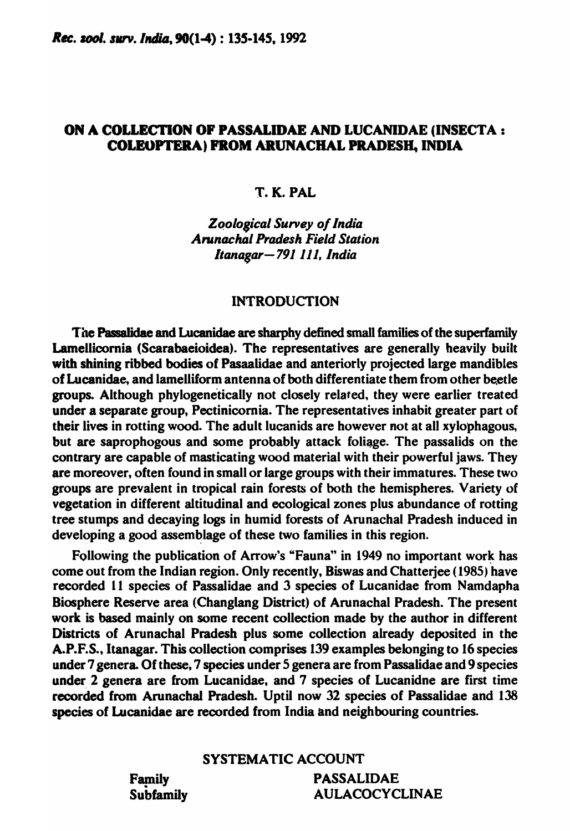# ON A COLLECTION or PASSALIDAE AND LUCANIDAE (INSECTA: COLEOPTERA) PROM ARUNACHAL PRADESH. INDIA

# T. K. PAL

# *ZQological Survey o/India Arunachal Pradesh Field Station Itanagar-791111, India*

# INTRODUCTION

The Passalidae and Lucanidae are sharphy defined small families of the superfamily Lamellicornia (Scarabaeioidea). The representatives are generally heavily built with shining ribbed bodies of Pasaalidae and anteriorly projected large mandibles of Lucanidae, and lamelliform antenna of both differentiate them from other beetle groups. Although phylogenetically not closely related, they were earlier treated under a separate group, Pectinicornia. The representatives inhabit greater part of their lives in rotting wood. The adult lucanids are however not at all xylophagous, but are saprophogous and some probably attack foliage. The passalids on the contrary are capable of masticating wood material with their powerful jaws. They are moreover, often found in small or large groups with their immatures. These two groups are prevalent in tropical rain forests of both the hemispheres. Variety of vegetation in different altitudinal and ecological zones plus abundance of rotting tree stumps and decaying logs in humid forests of Arunachal Pradesh induced in developing a good assemblage of these two families in this region.

Following the publication of Arrow's "Fauna" in 1949 no important work has come out from the Indian region. Only recently, Biswas and Chatterjee (1985) have recorded 11 species of Passalidae and 3 species of Lucanidae from Namdapha Biosphere Reserve area (Changlang District) of Arunachal Pradesh. The present work is based mainly on some recent collection made by the author in different Districts of Arunachal Pradesh plus some collection already deposited in the A.P.F.S., Itanagar. This collection comprises 139 examples belonging to 16 species under 7 genera. Of these, 7 species under 5 genera are from Passalidae and 9 species under 2 genera are from Lucanidae, and 7 species of Lucanidne are first time recorded from Arunachal Pradesh. Uptil now 32 species of Passalidae and 138 species of Lucanidae are recorded from India and neighbouring countries.

# SYSTEMATIC ACCOUNT

Family Subfamily PASSALIDAE AULACOCYCLINAE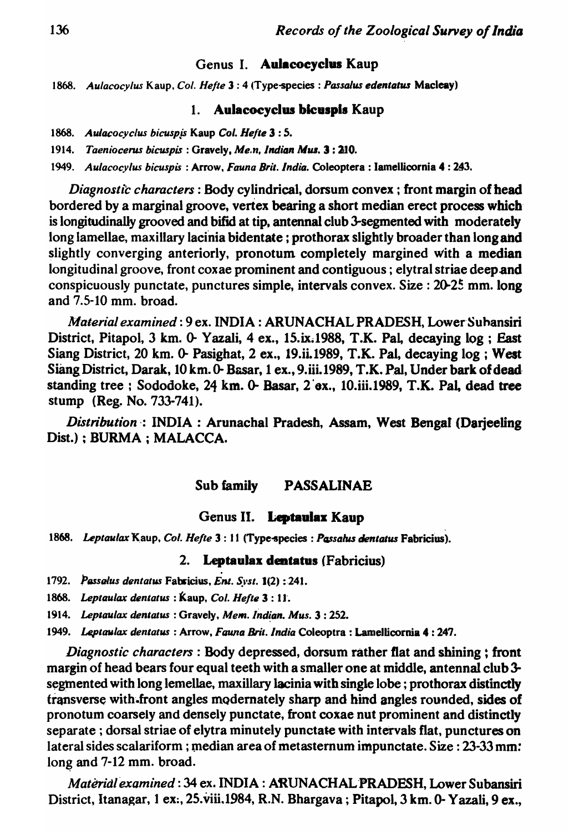# Genus I. Aulacocyclus Kaup

*1868. Aulacocylus* Kaup. *Col. Helle* 1 : 4 (Type-species : *PassaJus edentatw* Macleay)

# 1. Aulacocyclus bicuspis Kaup

- 1868. *Aulacocyclus bicuspjs* Kaup Col. *Helte* 3 : 5.
- 1914. *Taeniocerus bicuspis* : Gravely, *Me,n, Indian* Mw. 3: 210.

1949. *Aulacocylus bicuspis* : Arrow, *Fauna Brit. India.* Coleoptera: lamellicornia 4 : 243.

*Diagnostic characters:* Body cylindrical, dorsum convex; front margin of bead bordered by a marginal groove, vertex bearing a short median erect process which is longitudinally grooved and bifid at tip. antennal club 3-segmented with moderately long lamellae, maxillary lacinia bidentate; prothorax slightly broader than long and slightly converging anteriorly, pronotum completely margined With a median longitudinal groove, front coxae prominent and contiguous; elytral striae deep and conspicuously punctate, punctures simple, intervals convex. Size:  $20-25$  mm. long and 7.5-10 mm. broad.

*Material examined*: 9 ex. INDIA: ARUNACHAL PRADESH, Lower Suhansiri District, Pitapol, 3 km. 0- Yazali, 4 ex., 15.ix.1988, T.K. Pal, decaying log; East Siang District, 20 km. 0- Pasighat, 2 ex., 19.ii.1989, T.K. Pal, decaying log; West Siang District, Darak, 10 km. 0- Basar, 1 ex., 9. iii. 1989, T.K. Pal, Under bark of dead standing tree ; Sododoke, 24 km.  $0$ - Basar, 2 ex., 10.iii.1989, T.K. Pal, dead tree stump (Reg. No. 733-741).

*Distribution·:* INDIA: Arunachal Pradesh, Assam, West Bengal (Darjeeling Dist.) ; BURMA ; MALACCA.

#### Sub family PASSALINAE

#### Genus II. Leptaulax Kaup

1868. Leptaulax K aup, Col. Hefte 3: 11 (Type-species : Passalus dentatus Fabricius).

#### 2. Leptaulax dentatus (Fabricius)

1792. *Passalus dentatus Fabricius, Ent. Syst.* **1**(2): 241.

1868. *Leptaulax dentalus* : Kaup, *Col. Helte* 3 : Il.

1914. Leptaulax dentatus : Gravely, Mem. Indian. Mus. 3 : 252.

1949. Leptaulax dentatus : Arrow, *Fauna Brit. India* Coleoptra : Lamellicornia 4: 247.

*Diagnostic characters:* Body depressed, dorsum rather flat and shining; front margin of head bears four equal teeth with a smaller one at middle, antennal club  $3$ segmented with long lemellae, maxillary lacinia with single lobe; prothorax distinctly transverse with front angles modernately sharp and hind angles rounded, sides of pronotum coarsely and densely punctate, front coxae nut prominent and distinctly separate; dorsal striae of elytra minutely punctate with intervals flat, punctures on lateral sides scalariform ; median area of metasternum impunctate. Size: 23-33 mm: long and  $7-12$  mm. broad.

*Material examined: 34 ex. INDIA: ARUNACHAL PRADESH, Lower Subansiri* District, Itanagar, 1 ex., 25.viii.1984, R.N. Bhargava; Pitapol, 3 km. 0- Yazali, 9 ex.,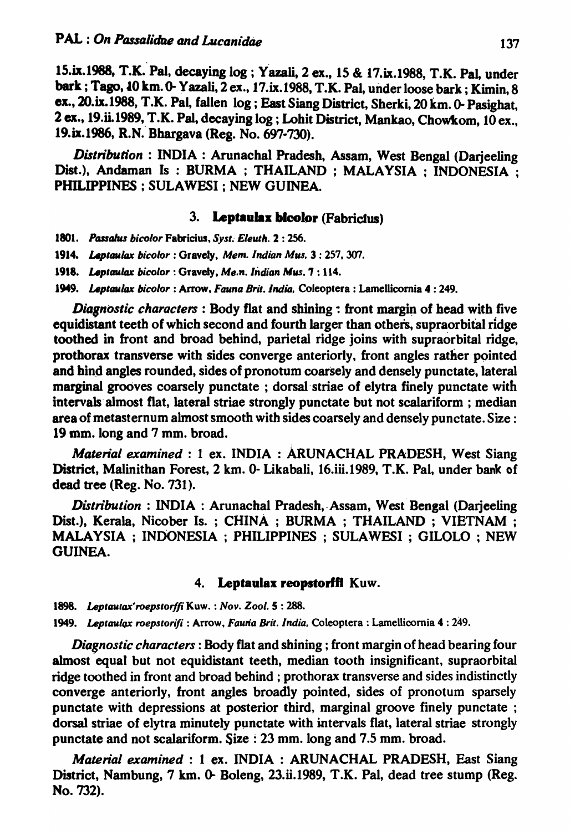15.ix.1988, T.K. Pal, decaying log ; Yazali, 2 ex., 15 & 17.ix.1988, T.K. Pal, under bark; Tago, *10 km. 0- Yazali, 2 ex., 17.ix.1988, T.K. Pal, under loose bark; Kimin, 8* ex., 2O.ix.I988, T.K. Pal, fallen log; East Siang District, Sherki, 20 km. 0- Pasighat, 2 ex., 19.ii.1989, T.K. Pal, decaying log; Lohit District, Mankao, Chowkom, 10 ex., 19.ix.I986, R.N. Bhargava (Reg. No. 697-7YJ).

*Distribution:* INDIA: Arunachal Pradesh, Assam, West Bengal (Darjeeling Dist.), Andaman Is : BURMA ; THAILAND ; MALAYSIA : INDONESIA : PHILIPPINES; SULAWESI; NEW GUINEA.

## 3. Leptaulax bicolor (Fabrictus)

- 1801. Passahus bicolor Fabricius, *Syst. Eleuth.* 2:256.
- 1914. *Leptaulax bicolor* : Gravely, *Mem. Indian Mus.* 3 : 257, 307.
- 1918. Leptaulax bicolor : Gravely, Me.n. Indian Mus. 7 : 114.
- 1949. Leptaulax bicolor : Arrow, *Fauna Brit. India*, Coleoptera : Lamellicornia 4: 249.

*Diagnostic characters* : Body flat and shining : front margin of head with five equidistant teeth of which second and fourth larger than others, supraorbital ridge toothed in front and broad behind, parietal ridge joins with supraorbital ridge, prothorax transverse with sides converge anteriorly, front angles rather pointed and bind angles rounded, sides of pronotum coarsely and densely punctate, lateral marginal grooves coarsely punctate; dorsal striae of elytra finely punctate with intervals' almost flat, lateral striae strongly punctate but not scalariform ; median area of metasternum almost smooth with sides coarsely and densely punctate. Size: 19 mm.long and 7 mm. broad.

*Material examined:* 1 ex. INDIA: ARUNACHAL PRADESH, West Siang District, Malinithan Forest, 2 km. 0- Likabali, 16.iii.1989, T.K. Pal, under bank of dead tree (Reg. No. 731).

*Distribution* : INDIA : Arunachal Pradesh, Assam, West Bengal (Darjeeling Dist.), Kerala, Nicober Is.; CHINA; BURMA; THAILAND; VIETNAM; MALAYSIA ; INDONESIA ; PHILIPPINES ; SULAWESI ; GILOLO ; NEW GUINEA.

### 4. Leptaalax reopstorffl Kuw.

*1898.* Leplau'ax~roepstorffi Kuw. : *Nov. Zoo/.* S : 288.

1949. Leptaulax roepstorifi : Arrow, Fauna Brit. India, Coleoptera : Lamellicornia 4 : 249.

*Diagnostic characters:* Body flat and shining; front margin of head bearing four almost equal but not equidistant teeth, median tooth insignificant, supraorbital ridge toothed in front and broad behind ; prothorax transverse and sides indistinctly converge anteriorly, front angles broadly pointed, sides of pronotum sparsely punctate with depressions at posterior third, marginal groove finely punctate; dorsal striae of elytra minutely punctate with intervals flat, lateral striae strongly punctate and not scalariform. Size: 23 mm. long and 7.5 mm. broad.

*Material examined* : 1 ex. INDIA : ARUNACHAL PRADESH, East Siang District, Nambung, 7 km. 0- Boleng, 23.ii.1989, T.K. Pal, dead tree stump (Reg. No. 732).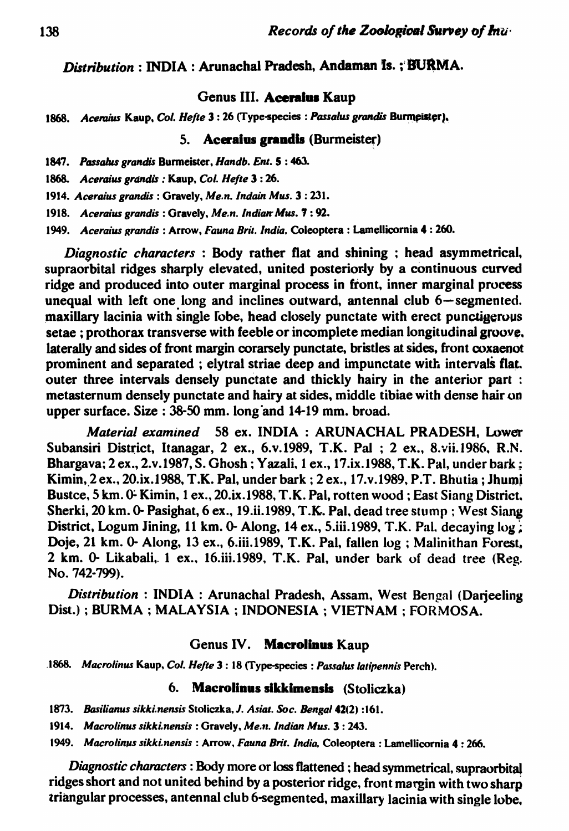# *Distribution* : INDIA : Arunachal Pradesh, Andaman Is. ; BURMA.

# Genus III. Aceraius Kaup

1868. *Aceraius Kaup, Col. Hefte* 3 : 26 (Type-species : *Passalus grandis Burmeister*).

## 5. Aceraius grandis (Burmeister)

*1847. Possabu grandis* Burmeister, *Handb. Ent.* 5 : 463.

1868. *Aceraius grandis* : Kaup, *Col. Hefte* 3:26.

*1914. Aceraiw grandis* : Gravely, *Me,n. Indain Mus.* 3 : 231.

1918. Aceraius grandis : Gravely, *Me.n. Indian<sup>:</sup> Mus.* **7** : 92.

*1949. Aceraius grandis* : Arrow, *Fauna Brit. India,* Coleoptera: LameUicomia 4: 260.

*Dia8nostic characters* : Body rather fiat and shining ; head asymmetrical. supraorbital ridges sharply elevated, united posteriorly by a continuous curved ridge and produced into outer marginal process in front, inner marginal process unequal with left one long and inclines outward, antennal club  $6$ -segmented. maxillary lacinia with single fobe, head closely punctate with erect punctigerous setae; prothorax transverse with feeble or incomplete median longitudinal groove. laterally and sides of front margin corarsely punctate, bristles at sides, front coxaenot prominent and separated; elytral striae deep and impunctate with intervals flat.<br>outer three intervals densely punctate and thickly hairy in the anterior part: metasternum densely punctate and hairy at sides, middle tibiae with dense hair on upper surface. Size: 38-50 mm. long and 14-19 mm. broad.

*Material examined* 58 ex. INDIA: ARUNACHAL PRADESH, Lower Subansiri District, Itanagar, 2 ex., 6.v.1989, T.K. Pal ; 2 ex., 8.vii.1986, R.N. Bhargava; 2 ex., 2.v.1987, S. Ghosh; Yazali, 1 ex., 17.ix.1988, T.K. Pal, under bark; Kimin, 2 ex., 20.ix.1988, T.K. Pal, under bark; 2 ex., 17.v.1989, P.T. Bhutia; Jhumi Bustce, 5 km. 0- Kimin, 1 ex., 20.ix.1988, T.K. Pal, rotten wood; East Siang District. Sherki, 20 km. 0- Pasighat, 6 ex., 19.ii.1989, T.K.. Pal. dead tree stump; West Siang District, Logum Jining, 11 km. 0- Along, 14 ex., 5.iii.1989, T.K. Pal. decaying log; Doje, 21 km. 0- Along, 13 ex., 6.iii.1989, T.K. Pal, fallen log; Malinithan Forest, 2 km. 0- Likabali,. 1 ex., 16.iii.1989. T.K. Pal, under bark of dead tree (Reg. No. 742-799).

*Distribution:* INDIA: Arunachal Pradesh. Assam, West Bengal (Darjeeling Dist.); BURMA; MALAYSIA; INDONESIA; VIETNAM; FORMOSA.

#### Genus IV. Macrolinus Kaup

*.1868. Macro/inw* Kaup, *Col. Helte* 3: 18 (Type-species : *Passalus latipennis* Perch).

# 6. Macrolinus sikkimensis (Stoliczka)

- *1873. Basilianus sikki,nens;s* Stoliczka. J. *Asia'. Soc. Bengal* 42(2) :161.
- *1914. Macrolinw sikki,nensis* : Gravely, *Me,,,. Indian* Mw. 3 : 243.

*1949. Macrolinus sikki.nensis* : Arrow. *Fauna Brit. India,* Coleoptera: Lamellicomia 4 : 266.

*Diagnostic characters* : Body more or loss flattened ; head symmetrical, supraorbital ridges short and not united behind by a posterior ridge, front margin with two sharp triangular processes, antennal club 6-segmented, maxillary lacinia with single lobe.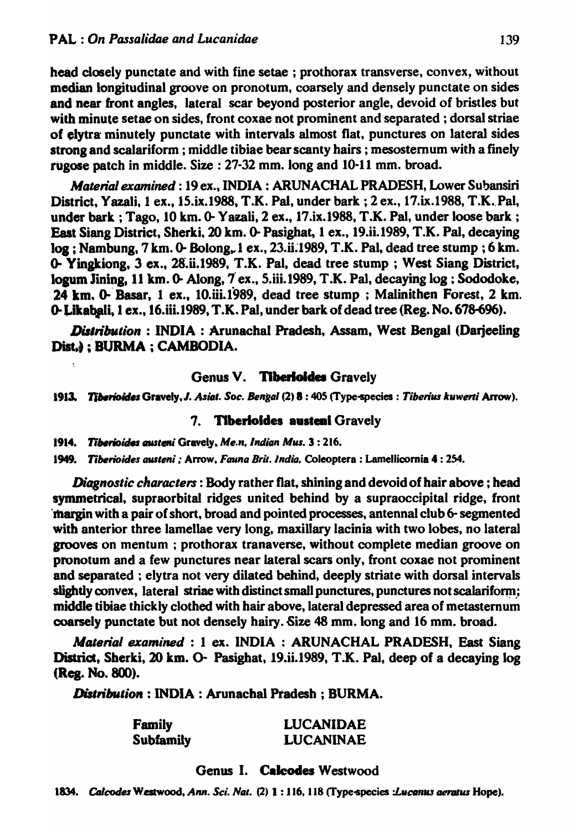head closely punctate and with fine setae ; prothorax transverse, convex, without median longitudinal groove on pronotum, coarsely and densely punctate on sides and near front angles, lateral scar beyond posterior angle, devoid of bristles but with minute setae on sides, front coxae not prominent and separated; dorsal striae of elytra minutely punctate with intervals almost flat, punctures on lateral sides strong and scalariform ; middle tibiae bear scanty hairs; mesosternum with a finely rugose patch in middle. Size: 27-32 Mm. long and 10-11 mm. broad.

*Material examined:* 19 ex., INDIA: ARUNACHAL PRADESH, Lower Subansiri District, Yazali, 1 ex., 15.ix.1988, T.K. Pal, under bark; 2 ex., 17.ix.1988, T.K. Pal, under bark; Tago, 10 km. 0- Yazali, 2 ex., 17.ix.1988, T.K. Pal, under loose bark; East Siang District, Sherki. 20 km. 0- Pasighat, 1 ex., 19.ii.1989, T.K. Pal, decaying  $log:$  Nambung, 7 km. 0- Bolong, 1 ex., 23.ii.1989, T.K. Pal, dead tree stump; 6 km. 0- Yinakiong, 3 ex., 28.ii.I989, T.K. Pal, dead tree stump; West Siang District, Iopm Jinins. 11 km. (). Along, 7' ex., 5.iii.1989, T .K. Pal, decaying log: Sododoke, 24 km. 0- Basar, 1 ex., 10.iii.1989, dead tree stump; Malinithen Forest, 2 km. 0-Likabali, 1 ex., 16. iii. 1989, T.K. Pal, under bark of dead tree (Reg. No. 678-696).

*Distribution*: INDIA: Arunachal Pradesh, Assam, West Bengal (Darjeeling Dist.) : BURMA ; CAMBODIA.

## Genus V. Tiberioides Gravely

1913. Tiberioides Gravely, J. Asiat. Soc. Bengal (2) 8:405 (Type-species : Tiberius kuwerti Arrow).

### 7. Tiberioides austeni Gravely

1914. Tiberioides austeni Gravely, Me.n, Indian Mus. 3: 216.

1949. Tiberioides austeni; Arrow, *Fauna Brit. India*, Coleoptera: Lamellicornia 4: 254.

*Diagnostic characters*: Body rather flat, shining and devoid of hair above: head symmetrical, supraorbital ridges united behind by a supraoccipital ridge, front 'lbargin with a pair of short, broad and pointed processes, antennal club 6-segmented with anterior three lamellae very long, maxillary lacinia with two lobes, no lateral grooves on mentum; prothorax tranaverse, without complete median groove on pronotum and a few punctures near lateral scars only, front coxae not prominent and separated ; elytra not very dilated behind, deeply striate with dorsal intervals slightly convex, lateral striae with distinct small punctures, punctures not scalariform; middle tibiae thickly clothed with hair above, lateral depressed area of metasternum coarsely punctate but not densely hairy. Size 48 mm. long and 16 mm. broad.

Material examined : 1 ex. INDIA : ARUNACHAL PRADESH, East Siang District, Sberki, 20 km. 0- Pasighat, 19.ii.1989, T.K. Pal, deep of a decaying log (Reg. No. 800).

*Distribution*: INDIA : Arunachal Pradesh; BURMA.

| <b>Family</b>    | <b>LUCANIDAE</b> |
|------------------|------------------|
| <b>Subfamily</b> | <b>LUCANINAE</b> |

## Genus I. Caleodes Westwood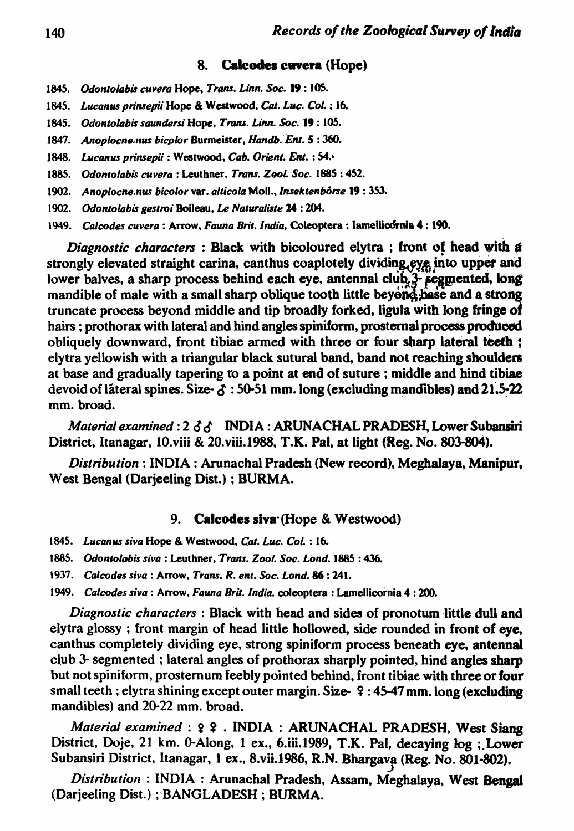#### 8. **Calcodes cuvera (Hope)**

- 1845. Odontolabis cuvera Hope, Trans. Linn. Soc. 19:105.
- 1845. Lucanus prinsepii Hope & Westwood, Cat. Luc. Col. ; 16.
- 1845. Odontolabis saundersi Hope, Trans. Linn. Soc. 19:105.
- 1847. Anoplocne.nus bicolor Burmeister, Handb. Ent. 5:360.
- 1848. Lucanus prinsepii: Westwood, Cab. Orient. Ent.: 54.
- 1885. Odontolabis cuvera: Leuthner, Trans. Zool. Soc. 1885: 452.
- 1902. Anoplocne.nus bicolor var. alticola Moll., Insektenbôrse 19:353.
- 1902. Odontolabis gestroi Boileau, Le Naturaliste 24 : 204.
- 1949. Calcodes cuvera: Arrow, Fauna Brit. India, Coleoptera: Iamellicornia 4: 190.

Diagnostic characters: Black with bicoloured elytra; front of head with a strongly elevated straight carina, canthus coaplotely dividing eye into upper and lower balves, a sharp process behind each eye, antennal club 3- segmented, long mandible of male with a small sharp oblique tooth little beyond base and a strong truncate process beyond middle and tip broadly forked, ligula with long fringe of hairs; prothorax with lateral and hind angles spiniform, prosternal process produced obliquely downward, front tibiae armed with three or four sharp lateral teeth; elytra yellowish with a triangular black sutural band, band not reaching shoulders at base and gradually tapering to a point at end of suture; middle and hind tibiae devoid of lateral spines. Size- $\delta$ : 50-51 mm. long (excluding mandibles) and 21.5-22 mm. broad.

Material examined:  $2 \delta \delta$  INDIA: ARUNACHAL PRADESH, Lower Subansiri District, Itanagar, 10.viii & 20.viii.1988, T.K. Pal, at light (Reg. No. 803-804).

Distribution: INDIA: Arunachal Pradesh (New record), Meghalaya, Manipur, West Bengal (Darjeeling Dist.); BURMA.

#### 9. **Calcodes siva (Hope & Westwood)**

- 1845. Lucanus siva Hope & Westwood, Cat. Luc. Col. : 16.
- 1885. Odontolabis siva : Leuthner, Trans. Zool. Soc. Lond. 1885 : 436.
- 1937. Calcodes siva: Arrow. Trans. R. ent. Soc. Lond. 86: 241.
- 1949. Calcodes siva: Arrow, Fauna Brit. India, coleoptera: Lamellicornia 4:200.

*Diagnostic characters*: Black with head and sides of pronotum little dull and elytra glossy; front margin of head little hollowed, side rounded in front of eye, canthus completely dividing eye, strong spiniform process beneath eye, antennal club 3- segmented; lateral angles of prothorax sharply pointed, hind angles sharp but not spiniform, prosternum feebly pointed behind, front tibiae with three or four small teeth; elytra shining except outer margin. Size-  $9:45-47$  mm. long (excluding mandibles) and 20-22 mm. broad.

Material examined: ? ? . INDIA: ARUNACHAL PRADESH, West Siang District, Doje, 21 km. 0-Along, 1 ex., 6.iii.1989, T.K. Pal, decaying log; Lower Subansiri District, Itanagar, 1 ex., 8.vii.1986, R.N. Bhargava (Reg. No. 801-802).

Distribution: INDIA: Arunachal Pradesh, Assam, Meghalaya, West Bengal (Darjeeling Dist.); BANGLADESH; BURMA.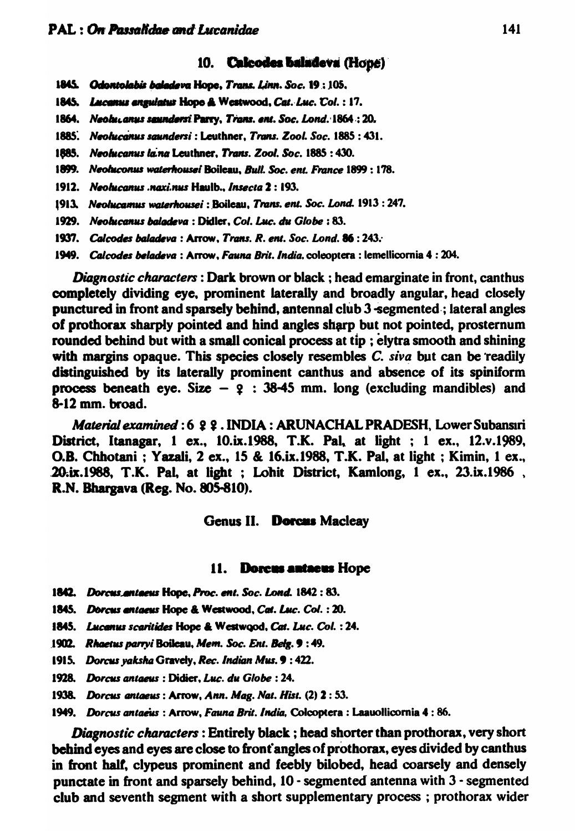#### 10. Calcodes baladeva (Hope)

- 1845. Odontolabis baladeva Hope, Trans. Linn. Soc. 19:105.
- 1845. Lucanus angulatus Hope & Westwood, Cat. Luc. Col.: 17.
- 1864. Neolucanus seundersi Parry, Trans. ent. Soc. Lond. 1864: 20.
- 1885. Neolucanus saundersi: Leuthner, Trans. Zool. Soc. 1885: 431.
- 1885. Neolucanus la na Leuthner, Trans. Zool. Soc. 1885:430.
- 1899. Neoluconus waterhousei Boileau, Bull. Soc. ent. France 1899: 178.
- 1912. Neolucanus naxinus Haulb.. Insecta 2: 193.
- 1913. Neolucamus waterhousei : Boileau, Trans. ent. Soc. Lond. 1913 : 247.
- 1929. Neolucanus baladeva : Didler, Col. Luc. du Globe : 83.
- 1937. Calcodes baladeva: Arrow. Trans. R. ent. Soc. Lond. 86:243.
- 1949. Calcodes beladeva: Arrow, Fauna Brit. India, coleoptera: lemellicornia 4: 204.

Diagnostic characters: Dark brown or black; head emarginate in front, canthus completely dividing eye, prominent laterally and broadly angular, head closely punctured in front and sparsely behind, antennal club 3 segmented; lateral angles of prothorax sharply pointed and hind angles sharp but not pointed, prosternum rounded behind but with a small conical process at tip; elytra smooth and shining with margins opaque. This species closely resembles  $C$ . siva but can be readily distinguished by its laterally prominent canthus and absence of its spiniform process beneath eye. Size  $-$  2 : 38-45 mm. long (excluding mandibles) and 8-12 mm. broad.

Material examined: 6 2 2. INDIA: ARUNACHAL PRADESH, Lower Subansiri District, Itanagar, 1 ex., 10.ix.1988, T.K. Pal, at light; 1 ex., 12.v.1989, O.B. Chhotani; Yazali, 2 ex., 15 & 16.ix.1988, T.K. Pal, at light; Kimin, 1 ex., 20.ix.1988, T.K. Pal, at light; Lohit District, Kamlong, 1 ex., 23.ix.1986, R.N. Bhargava (Reg. No. 805-810).

#### Genus II. Dorcus Macleay

#### 11. Dorcus antaeus Hope

- 1842. Dorcus antaeus Hope, Proc. ent. Soc. Lond. 1842: 83.
- 1845. Dorcus entaeus Hope & Westwood, Cat. Luc. Col.: 20.
- 1845. Lucanus scaritides Hope & Westwood, Cat. Luc. Col. : 24.
- 1902. Rhaetus parryi Boileau, Mem. Soc. Ent. Belg. 9:49.
- 1915. Dorcus yaksha Gravely, Rec. Indian Mus. 9:422.
- 1928. Dorcus antaeus: Didier, Luc. du Globe: 24.
- 1938. Dorcus antaeus: Arrow, Ann. Mag. Nat. Hist. (2) 2:53.

1949. Dorcus antaeus: Arrow, Fauna Brit. India, Colcoptera: Laauollicornia 4:86.

Diagnostic characters: Entirely black; head shorter than prothorax, very short behind eyes and eyes are close to front angles of prothorax, eyes divided by canthus in front half, clypeus prominent and feebly bilobed, head coarsely and densely punctate in front and sparsely behind, 10 - segmented antenna with 3 - segmented club and seventh segment with a short supplementary process; prothorax wider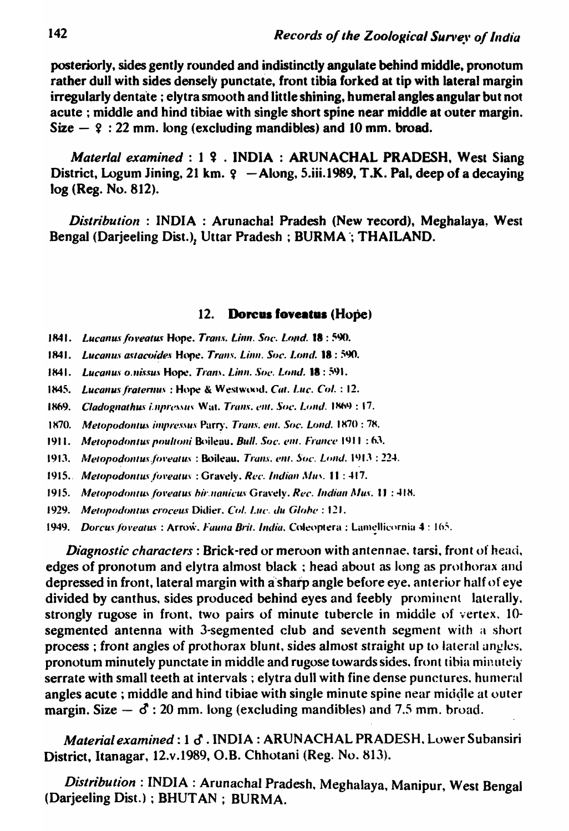posteriorly, sides gently rounded and indistinctly angulate behind middle, pronotum rather dull with sides densely punctate, front tibia forked at tip with lateral margin irregularly dentate; elytra smooth and little shining, humeral angles angular but not acute; middle and hind tibiae with single short spine near middle at outer margin. Size  $-$  9 : 22 mm. long (excluding mandibles) and 10 mm. broad.

Material examined : 1 9 . INDIA : ARUNACHAL PRADESH, West Siang District, Logum Jining, 21 km.  $9 -$ Along, 5.iii.1989, T.K. Pal, deep of a decaying log (Reg. No. 812).

Distribution: INDIA: Arunacha! Pradesh (New record), Meghalaya, West Bengal (Darjeeling Dist.), Uttar Pradesh; BURMA; THAILAND.

#### $12.$ Dorcus foveatus (Hope)

- 1841. Lucanus foveatus Hope, Trans. Linn. Soc. Lond. 18:590.
- 1841. Lucanus astacoides Hope. Trans. Linn. Soc. Lond. 18: 590.
- 1841. Lucanus o.nissus Hope, Trans. Linn. Soc. Lond. 18: 591.
- 1845. Lucanus fraternus: Hope & Westwood, Cat. Luc. Col.: 12.
- 1869. Cladognathus impressus Wat. Trans. ent. Soc. Lond. 1869 : 17.
- 1870. Metopodontus impressus Parry, Trans. ent. Soc. Lond. 1870 : 78.
- 1911. Metopodontus poultoni Boileau. Bull. Soc. ent. France 1911 : 63.
- 1913. Metopodontus foveatus: Boileau, Trans. ent. Soc. Lond. 1913: 224.
- 1915. Metopodontus foveatus: Gravely. Rec. Indian Mus. 11: 417.
- 1915. Metopodontus foveatus bir nanicus Gravely. Rec. Indian Mus. 11:418.
- 1929. Metopodontus croceus Didier, Col. Luc. du Globe : 121.
- 1949. Dorcus foveatus: Arrow. Fauna Brit. India. Coleoptera: Lamellicornia 4: 165.

Diagnostic characters: Brick-red or meroon with antennae, tarsi, front of head, edges of pronotum and elytra almost black; head about as long as prothorax and depressed in front, lateral margin with a sharp angle before eye, anterior half of eye divided by canthus, sides produced behind eyes and feebly prominent laterally. strongly rugose in front, two pairs of minute tubercle in middle of vertex, 10segmented antenna with 3-segmented club and seventh segment with a short process; front angles of prothorax blunt, sides almost straight up to lateral angles, pronotum minutely punctate in middle and rugose towards sides, front tibia minutely serrate with small teeth at intervals; elytra dull with fine dense punctures, humeral angles acute; middle and hind tibiae with single minute spine near middle at outer margin. Size  $\delta$ : 20 mm. long (excluding mandibles) and 7.5 mm. broad.

Material examined: 1 & . INDIA: ARUNACHAL PRADESH. Lower Subansiri District, Itanagar, 12.v.1989, O.B. Chhotani (Reg. No. 813).

Distribution: INDIA: Arunachal Pradesh, Meghalaya, Manipur, West Bengal (Darjeeling Dist.); BHUTAN; BURMA.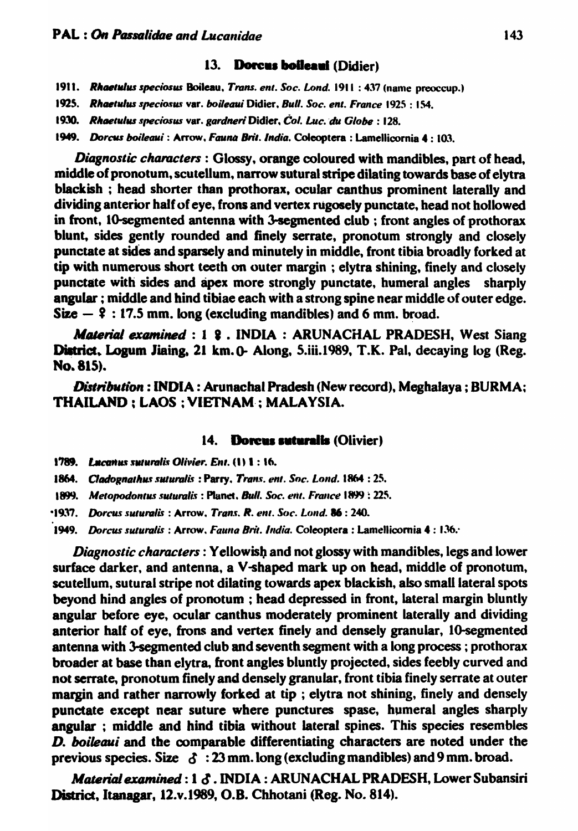# 13. Dorcus boileaui (Didier)

- 1911. Rhaetulus speciosus Boileau, Trans. ent. Soc. Lond. 1911 : 437 (name preoccup.)
- 1925. Rhaetulus speciosus var. *boileaui* Didier, Bull. Soc. ent. France 1925 : 154.
- 1930. Rhaetulus speciosus var. gardneri Didier, Col. Luc. du Globe: 128.
- 1949. *Dorcus boileaui*: Arrow. Fauna Brit. India. Coleoptera: Lamellicornia 4: 103.

*Diagnostic characters:* Glossy, orange coloured with mandibles, part of head, middle of pronotum, scutellum, narrow sutural stripe dilating towards base of elytra blackish; head shorter than prothorax, ocular canthus prominent laterally and dividing anterior half of eye, frons and vertex rugosely punctate, head not hollowed in front, 10-segmented antenna with 3-segmented club; front angles of prothorax blunt. sides gently rounded and finely serrate, pronotum strongly and closely punctate at sides and sparsely and minutely in middle, front tibia broadly forked at tip with numerous short teeth on outer margin ; elytra shining, finely and closely punctate with sides and apex more strongly punctate, humeral angles sharply angular; middle and hind tibiae each with a strong spine near middle of outer edge.  $Size - 2 : 17.5$  mm. long (excluding mandibles) and 6 mm. broad.

Material examined : 1 & . INDIA: ARUNACHAL PRADESH, West Siang District, Logum Jiaing, 21 km. 0- Along, 5.iii.1989, T.K. Pal, decaying log (Reg. No.81S).

*Distribution*: INDIA: Arunachal Pradesh (New record), Meghalaya; BURMA; THAILAND; LAOS; VIETNAM; MALAYSIA.

#### 14. Dorcus suturalis (Olivier)

- 1789. *Lucanus suturalis Olivier. Ent.* (1) 1:16.
- 1864. Cladognathus suturalis: Parry. Trans. ent. Soc. Lond. 1864 : 25.
- 1899. *Metopodontus suturalis* : Planet. Bull. Soc. ent. France 1899 : 225.

*·1"'7. DorclIS s"'lIralis* : Arrow. *Tran.t. R.* enl. *S(IC.* L()IId. 16 : 240.

1949. *Dorcus suturalis* : Arrow, *Fauna Brit. India.* Coleoptera : Lamellicornia 4: 136.

*Diagnostic characters*: Yellowish and not glossy with mandibles, legs and lower surface darker, and antenna, a V-shaped mark up on head, middle of pronotum. scutellum, sutural stripe not dilating towards apex blackish, also small lateral spots beyond hind angles of pronotum ; head depressed in front, lateral margin bluntly angular before eye, ocular canthus moderately prominent laterally and dividing anterior half of eye, frons and vertex finely and densely granular, 10-segmented antenna with 3-segmented club and seventh segment with a long process; prothorax broader at base than elytra, front angles bluntly projected, sides feebly curved and not serrate, pronotum finely and densely granular, front tibia finely serrate at outer margin and rather narrowly forked at tip ; elytra not shining, finely and densely punctate except near suture where punctures spase. humeral angles sharply angular ; middle and hind tibia without lateral spines. This species resembles D. *boileaui* and tbe comparable differentiating characters are noted under the previous species. Size  $\delta$ : 23 mm. long (excluding mandibles) and 9 mm. broad.

*Material examined: 1*  $\delta$ *. INDIA: ARUNACHAL PRADESH, Lower Subansiri* District, Itanagar, 12.v.1989, O.B. Chhotani (Reg. No. 814).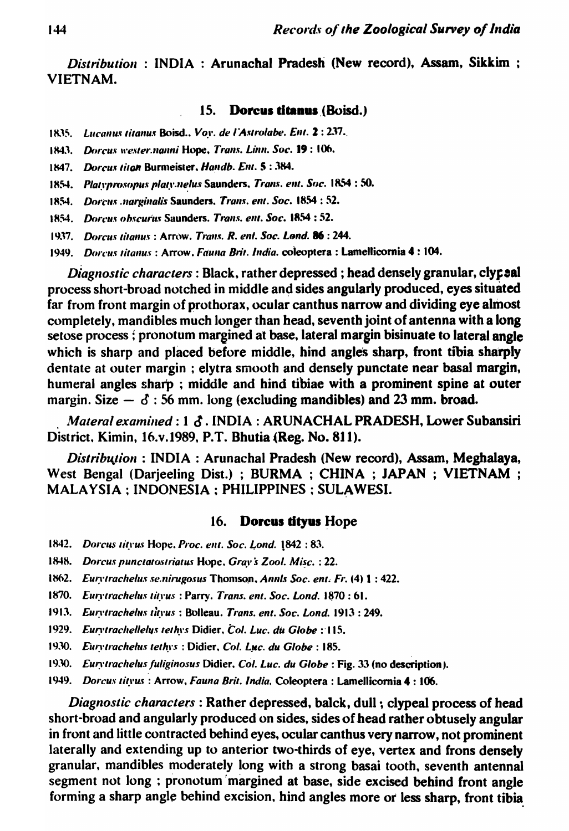Distribution: INDIA: Arunachal Pradesh (New record), Assam, Sikkim; **VIETNAM.** 

#### 15. Dorcus titanus (Boisd.)

- 1835. Lucanus titanus Boisd., Vov. de l'Astrolabe. Ent. 2: 237.
- 1843. Dorcus wester.nanni Hope, Trans. Linn. Soc. 19:106.
- 1847. Dorcus titon Burmeister, Handb. Ent. 5:384.
- 1854. Platyprosopus platy.nelus Saunders, Trans. ent. Soc. 1854 : 50.
- 1854. Dorcus narginalis Saunders, Trans. ent. Soc. 1854 : 52.
- 1854. Doreus obscurus Saunders. Trans. ent. Soc. 1854 : 52.
- 1937. Dorcus titanus: Arrow. Trans. R. ent. Soc. Lond. 86: 244.
- 1949. Doreus titanus: Arrow, Fauna Brit, India, coleoptera : Lamellicornia 4 : 104.

Diagnostic characters: Black, rather depressed; head densely granular, clypeal process short-broad notched in middle and sides angularly produced, eyes situated far from front margin of prothorax, ocular canthus narrow and dividing eye almost completely, mandibles much longer than head, seventh joint of antenna with a long setose process; pronotum margined at base, lateral margin bisinuate to lateral angle which is sharp and placed before middle, hind angles sharp, front tibia sharply dentate at outer margin; elytra smooth and densely punctate near basal margin, humeral angles sharp; middle and hind tibiae with a prominent spine at outer margin. Size  $\delta$  : 56 mm. long (excluding mandibles) and 23 mm. broad.

Materal examined: 1 &. INDIA: ARUNACHAL PRADESH, Lower Subansiri District, Kimin, 16.v.1989, P.T. Bhutia (Reg. No. 811).

Distribution: INDIA: Arunachal Pradesh (New record), Assam, Meghalaya, West Bengal (Darjeeling Dist.); BURMA; CHINA; JAPAN; VIETNAM; MALAYSIA ; INDONESIA ; PHILIPPINES ; SULAWESI.

#### 16. Dorcus tityus Hope

- 1842. Dorcus tityus Hope. Proc. ent. Soc. Lond. 1842:83.
- 1848. Dorcus punctatostriatus Hope, Grav's Zool. Misc.: 22.
- 1862. Eurvirachelus se.nirugosus Thomson, Annis Soc. ent. Fr. (4) 1:422.
- 1870. Eurytrachelus tityus: Parry. Trans. ent. Soc. Lond. 1870: 61.
- 1913. Eurytrachelus tityus: Bolleau. Trans. ent. Soc. Lond. 1913: 249.
- 1929. Eurvtrachellelys tethys Didier, Col. Luc. du Globe : 115.
- 1930. Eurytrachelus tethys: Didier, Col. Luc. du Globe: 185.
- 1930. Eurvtrachelus fuliginosus Didier, Col. Luc. du Globe : Fig. 33 (no description).
- 1949. Dorcus tityus: Arrow, Fauna Brit. India, Coleoptera: Lamellicornia 4:106.

Diagnostic characters: Rather depressed, balck, dull; clypeal process of head short-broad and angularly produced on sides, sides of head rather obtusely angular in front and little contracted behind eyes, ocular canthus very narrow, not prominent laterally and extending up to anterior two-thirds of eye, vertex and frons densely granular, mandibles moderately long with a strong basai tooth, seventh antennal segment not long ; pronotum margined at base, side excised behind front angle forming a sharp angle behind excision, hind angles more or less sharp, front tibia